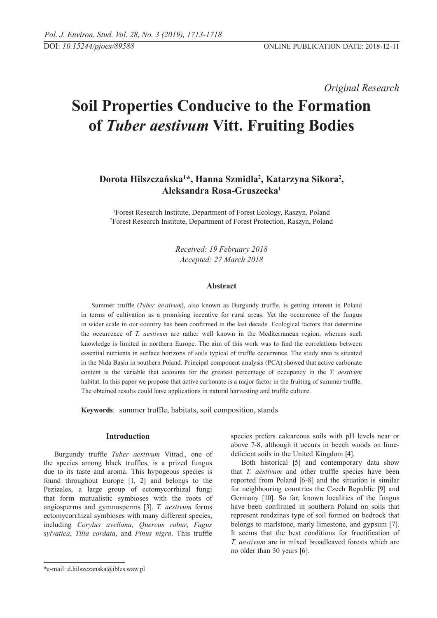*Original Research* 

# **Soil Properties Conducive to the Formation of** *Tuber aestivum* **Vitt. Fruiting Bodies**

# **Dorota Hilszczańska1 \*, Hanna Szmidla2 , Katarzyna Sikora2 , Aleksandra Rosa-Gruszecka1**

1 Forest Research Institute, Department of Forest Ecology, Raszyn, Poland 2 Forest Research Institute, Department of Forest Protection, Raszyn, Poland

> *Received: 19 February 2018 Accepted: 27 March 2018*

## **Abstract**

Summer truffle (*Tuber aestivum*), also known as Burgundy truffle, is getting interest in Poland in terms of cultivation as a promising incentive for rural areas. Yet the occurrence of the fungus in wider scale in our country has been confirmed in the last decade. Ecological factors that determine the occurrence of *T. aestivum* are rather well known in the Mediterranean region, whereas such knowledge is limited in northern Europe. The aim of this work was to find the correlations between essential nutrients in surface horizons of soils typical of truffle occurrence. The study area is situated in the Nida Basin in southern Poland. Principal component analysis (PCA) showed that active carbonate content is the variable that accounts for the greatest percentage of occupancy in the *T. aestivum* habitat. In this paper we propose that active carbonate is a major factor in the fruiting of summer truffle. The obtained results could have applications in natural harvesting and truffle culture.

**Keywords**: summer truffle, habitats, soil composition, stands

# **Introduction**

Burgundy truffle *Tuber aestivum* Vittad., one of the species among black truffles, is a prized fungus due to its taste and aroma. This hypogeous species is found throughout Europe [1, 2] and belongs to the Pezizales, a large group of ectomycorrhizal fungi that form mutualistic symbioses with the roots of angiosperms and gymnosperms [3]. *T. aestivum* forms ectomycorrhizal symbioses with many different species, including *Corylus avellana*, *Quercus robur*, *Fagus sylvatica*, *Tilia cordata*, and *Pinus nigra*. This truffle

species prefers calcareous soils with pH levels near or above 7-8, although it occurs in beech woods on limedeficient soils in the United Kingdom [4].

Both historical [5] and contemporary data show that *T. aestivum* and other truffle species have been reported from Poland [6-8] and the situation is similar for neighbouring countries the Czech Republic [9] and Germany [10]. So far, known localities of the fungus have been confirmed in southern Poland on soils that represent rendzinas type of soil formed on bedrock that belongs to marlstone, marly limestone, and gypsum [7]. It seems that the best conditions for fructification of *T. aestivum* are in mixed broadleaved forests which are no older than 30 years [6].

<sup>\*</sup>e-mail: d.hilszczanska@ibles.waw.pl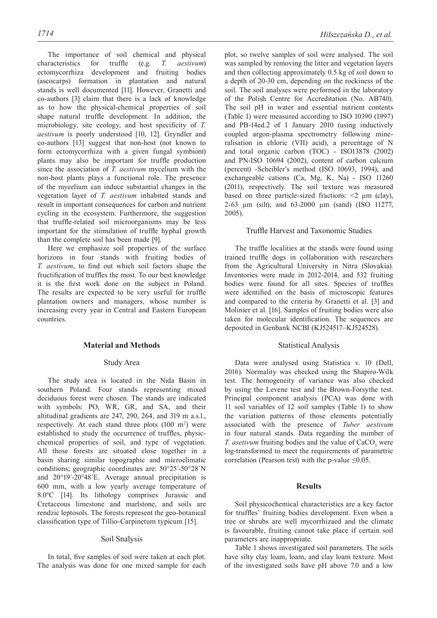The importance of soil chemical and physical characteristics for truffle (e.g. *T. aestivum*) ectomycorrhiza development and fruiting bodies (ascocarps) formation in plantation and natural stands is well documented [11]. However, Granetti and co-authors [3] claim that there is a lack of knowledge as to how the physical-chemical properties of soil shape natural truffle development. In addition, the microbiology, site ecology, and host specificity of *T. aestivum* is poorly understood [10, 12]. Gryndler and co-authors [13] suggest that non-host (not known to form ectomycorrhiza with a given fungal symbiont) plants may also be important for truffle production since the association of *T. aestivum* mycelium with the non-host plants plays a functional role. The presence of the mycelium can induce substantial changes in the vegetation layer of *T. aestivum* inhabited stands and result in important consequences for carbon and nutrient cycling in the ecosystem. Furthermore, the suggestion that truffle-related soil microorganisms may be less important for the stimulation of truffle hyphal growth than the complete soil has been made [9].

Here we emphasize soil properties of the surface horizons in four stands with fruiting bodies of *T. aestivum*, to find out which soil factors shape the fructification of truffles the most. To our best knowledge it is the first work done on the subject in Poland. The results are expected to be very useful for truffle plantation owners and managers, whose number is increasing every year in Central and Eastern European countries.

## **Material and Methods**

#### Study Area

The study area is located in the Nida Basin in southern Poland. Four stands representing mixed deciduous forest were chosen. The stands are indicated with symbols: PO, WR, GR, and SA, and their altitudinal gradients are 247, 290, 264, and 319 m a.s.l., respectively. At each stand three plots  $(100 \text{ m}^2)$  were established to study the occurrence of truffles, physicchemical properties of soil, and type of vegetation. All those forests are situated close together in a basin sharing similar topographic and microclimatic conditions; geographic coordinates are: 50°25´-50°28´N and 20°19´-20°48´E. Average annual precipitation is 600 mm, with a low yearly average temperature of 8.0ºC [14]. Its lithology comprises Jurassic and Cretaceous limestone and marlstone, and soils are rendzic leptosols. The forests represent the geo-botanical classification type of Tillio-Carpinetum typicum [15].

#### Soil Snalysis

In total, five samples of soil were taken at each plot. The analysis was done for one mixed sample for each plot, so twelve samples of soil were analysed. The soil was sampled by removing the litter and vegetation layers and then collecting approximately 0.5 kg of soil down to a depth of 20-30 cm, depending on the rockiness of the soil. The soil analyses were performed in the laboratory of the Polish Centre for Accreditation (No. AB740). The soil pH in water and essential nutrient contents (Table 1) were measured according to ISO 10390 (1997) and PB-14ed.2 of 1 January 2010 (using inductively coupled argon-plasma spectrometry following mineralisation in chloric (VII) acid), a percentage of N and total organic carbon (TOC) - ISO13878 (2002) and PN-ISO 10694 (2002), content of carbon calcium (percent) -Scheibler's method (ISO 10693, 1994), and exchangeable cations (Ca, Mg, K, Na) - ISO 11260 (2011), respectively. The soil texture was measured based on three particle-sized fractions:  $\leq 2 \mu m$  (clay), 2-63 μm (silt), and 63-2000 μm (sand) (ISO 11277, 2005).

#### Truffle Harvest and Taxonomic Studies

The truffle localities at the stands were found using trained truffle dogs in collaboration with researchers from the Agricultural University in Nitra (Slovakia). Inventories were made in 2012-2014, and 532 fruiting bodies were found for all sites. Species of truffles were identified on the basis of microscopic features and compared to the criteria by Granetti et al. [3] and Molinier et al. [16]. Samples of fruiting bodies were also taken for molecular identification. The sequences are deposited in Genbank NCBI (KJ524517–KJ524528).

#### Statistical Analysis

Data were analysed using Statistica v. 10 (Dell, 2016). Normality was checked using the Shapiro-Wilk test. The homogeneity of variance was also checked by using the Levene test and the Brown-Forsythe test. Principal component analysis (PCA) was done with 11 soil variables of 12 soil samples (Table 1) to show the variation patterns of those elements potentially associated with the presence of *Tuber aestivum* in four natural stands. Data regarding the number of *T. asetivum* fruiting bodies and the value of  $CaCO<sub>3</sub>$  were log-transformed to meet the requirements of parametric correlation (Pearson test) with the p-value  $\leq 0.05$ .

# **Results**

Soil physicochemical characteristics are a key factor for truffles' fruiting bodies development. Even when a tree or shrubs are well mycorrhizaed and the climate is favourable, fruiting cannot take place if certain soil parameters are inappropriate.

Table 1 shows investigated soil parameters. The soils have silty clay loam, loam, and clay loam texture. Most of the investigated soils have pH above 7.0 and a low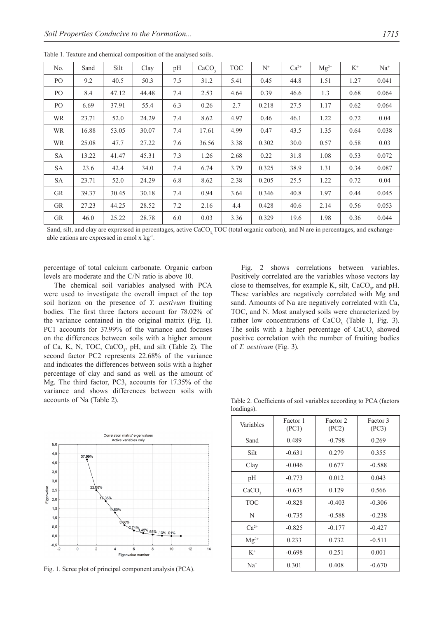| No.       | Sand  | Silt  | Clay  | pH  | CaCO <sub>3</sub> | <b>TOC</b> | $N^+$ | $Ca^{2+}$ | $Mg^{2+}$ | $K^+$ | $Na+$ |
|-----------|-------|-------|-------|-----|-------------------|------------|-------|-----------|-----------|-------|-------|
| PO.       | 9.2   | 40.5  | 50.3  | 7.5 | 31.2              | 5.41       | 0.45  | 44.8      | 1.51      | 1.27  | 0.041 |
| PO.       | 8.4   | 47.12 | 44.48 | 7.4 | 2.53              | 4.64       | 0.39  | 46.6      | 1.3       | 0.68  | 0.064 |
| PO.       | 6.69  | 37.91 | 55.4  | 6.3 | 0.26              | 2.7        | 0.218 | 27.5      | 1.17      | 0.62  | 0.064 |
| <b>WR</b> | 23.71 | 52.0  | 24.29 | 7.4 | 8.62              | 4.97       | 0.46  | 46.1      | 1.22      | 0.72  | 0.04  |
| <b>WR</b> | 16.88 | 53.05 | 30.07 | 7.4 | 17.61             | 4.99       | 0.47  | 43.5      | 1.35      | 0.64  | 0.038 |
| <b>WR</b> | 25.08 | 47.7  | 27.22 | 7.6 | 36.56             | 3.38       | 0.302 | 30.0      | 0.57      | 0.58  | 0.03  |
| <b>SA</b> | 13.22 | 41.47 | 45.31 | 7.3 | 1.26              | 2.68       | 0.22  | 31.8      | 1.08      | 0.53  | 0.072 |
| SA        | 23.6  | 42.4  | 34.0  | 7.4 | 6.74              | 3.79       | 0.325 | 38.9      | 1.31      | 0.34  | 0.087 |
| <b>SA</b> | 23.71 | 52.0  | 24.29 | 6.8 | 8.62              | 2.38       | 0.205 | 25.5      | 1.22      | 0.72  | 0.04  |
| <b>GR</b> | 39.37 | 30.45 | 30.18 | 7.4 | 0.94              | 3.64       | 0.346 | 40.8      | 1.97      | 0.44  | 0.045 |
| <b>GR</b> | 27.23 | 44.25 | 28.52 | 7.2 | 2.16              | 4.4        | 0.428 | 40.6      | 2.14      | 0.56  | 0.053 |
| <b>GR</b> | 46.0  | 25.22 | 28.78 | 6.0 | 0.03              | 3.36       | 0.329 | 19.6      | 1.98      | 0.36  | 0.044 |

Table 1. Texture and chemical composition of the analysed soils.

Sand, silt, and clay are expressed in percentages, active CaCO, TOC (total organic carbon), and N are in percentages, and exchangeable cations are expressed in cmol x kg-1.

percentage of total calcium carbonate. Organic carbon levels are moderate and the C/N ratio is above 10.

The chemical soil variables analysed with PCA were used to investigate the overall impact of the top soil horizon on the presence of *T. aestivum* fruiting bodies. The first three factors account for 78.02% of the variance contained in the original matrix (Fig. 1). PC1 accounts for 37.99% of the variance and focuses on the differences between soils with a higher amount of Ca, K, N, TOC,  $CaCO<sub>3</sub>$ , pH, and silt (Table 2). The second factor PC2 represents 22.68% of the variance and indicates the differences between soils with a higher percentage of clay and sand as well as the amount of Mg. The third factor, PC3, accounts for 17.35% of the variance and shows differences between soils with accounts of Na (Table 2).

Correlation matrix' eigenvalue Active variables only  $5,0$  $4,5$ 37.999  $40$  $3.5$  $3.0$ ralue  $2,5$ Figer  $2.0$  $1,5$  $1,0$  $0,5$ .13% .01%  $_{0,0}$  $-0.5$  $\overline{2}$  $\overline{a}$  $6$ 8  $10$  $12$  $14$ Eigenvalue numbe

Fig. 1. Scree plot of principal component analysis (PCA).

Fig. 2 shows correlations between variables. Positively correlated are the variables whose vectors lay close to themselves, for example K, silt,  $CaCO<sub>3</sub>$ , and pH. These variables are negatively correlated with Mg and sand. Amounts of Na are negatively correlated with Ca, TOC, and N. Most analysed soils were characterized by rather low concentrations of  $CaCO<sub>3</sub>$  (Table 1, Fig. 3). The soils with a higher percentage of  $CaCO<sub>3</sub>$  showed positive correlation with the number of fruiting bodies of *T. aestivum* (Fig. 3).

Table 2. Coefficients of soil variables according to PCA (factors loadings).

| Variables         | Factor 1<br>(PC1) | Factor 2<br>(PC2) | Factor 3<br>(PC3) |
|-------------------|-------------------|-------------------|-------------------|
| Sand              | 0.489             | $-0.798$          | 0.269             |
| Silt              | $-0.631$          | 0.279             | 0.355             |
| Clay              | $-0.046$          | 0.677             | $-0.588$          |
| pH                | $-0.773$          | 0.012             | 0.043             |
| CaCO <sub>3</sub> | $-0.635$          | 0.129             | 0.566             |
| <b>TOC</b>        | $-0.828$          | $-0.403$          | $-0.306$          |
| N                 | $-0.735$          | $-0.588$          | $-0.238$          |
| $Ca^{2+}$         | $-0.825$          | $-0.177$          | $-0.427$          |
| $Mg^{2+}$         | 0.233             | 0.732             | $-0.511$          |
| $K^+$             | $-0.698$          | 0.251             | 0.001             |
| $Na+$             | 0.301             | 0.408             | $-0.670$          |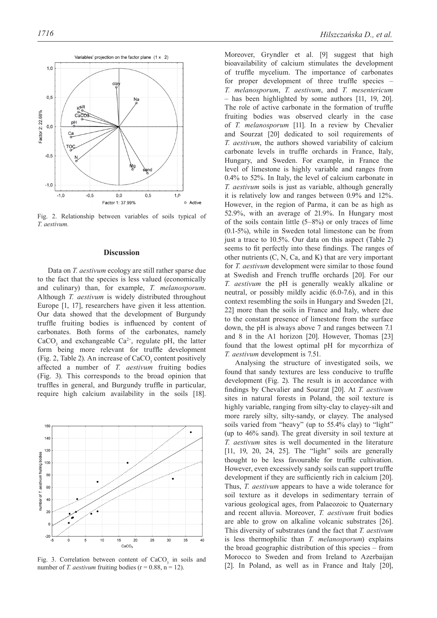

Fig. 2. Relationship between variables of soils typical of *T. aestivum.*

#### **Discussion**

Data on *T. aestivum* ecology are still rather sparse due to the fact that the species is less valued (economically and culinary) than, for example, *T. melanosporum*. Although *T. aestivum* is widely distributed throughout Europe [1, 17], researchers have given it less attention. Our data showed that the development of Burgundy truffle fruiting bodies is influenced by content of carbonates. Both forms of the carbonates, namely  $CaCO<sub>3</sub>$  and exchangeable  $Ca<sup>2+</sup>$ , regulate pH, the latter form being more relevant for truffle development (Fig. 2, Table 2). An increase of  $CaCO<sub>3</sub>$  content positively affected a number of *T. aestivum* fruiting bodies (Fig. 3). This corresponds to the broad opinion that truffles in general, and Burgundy truffle in particular, require high calcium availability in the soils [18].



Fig. 3. Correlation between content of  $CaCO<sub>3</sub>$  in soils and number of *T. aestivum* fruiting bodies ( $r = 0.88$ ,  $n = 12$ ).

Moreover, Gryndler et al. [9] suggest that high bioavailability of calcium stimulates the development of truffle mycelium. The importance of carbonates for proper development of three truffle species – *T. melanosporum*, *T. aestivum*, and *T. mesentericum* – has been highlighted by some authors [11, 19, 20]. The role of active carbonate in the formation of truffle fruiting bodies was observed clearly in the case of *T. melanosporum* [11]. In a review by Chevalier and Sourzat [20] dedicated to soil requirements of *T. aestivum*, the authors showed variability of calcium carbonate levels in truffle orchards in France, Italy, Hungary, and Sweden. For example, in France the level of limestone is highly variable and ranges from 0.4% to 52%. In Italy, the level of calcium carbonate in *T. aestivum* soils is just as variable, although generally it is relatively low and ranges between 0.9% and 12%. However, in the region of Parma, it can be as high as 52.9%, with an average of 21.9%. In Hungary most of the soils contain little (5–8%) or only traces of lime (0.1-5%), while in Sweden total limestone can be from just a trace to 10.5%. Our data on this aspect (Table 2) seems to fit perfectly into these findings. The ranges of other nutrients (C, N, Ca, and K) that are very important for *T. aestivum* development were similar to those found at Swedish and French truffle orchards [20]. For our *T. aestivum* the pH is generally weakly alkaline or neutral, or possibly mildly acidic (6.0-7.6), and in this context resembling the soils in Hungary and Sweden [21, 22] more than the soils in France and Italy, where due to the constant presence of limestone from the surface down, the pH is always above 7 and ranges between 7.1 and 8 in the A1 horizon [20]. However, Thomas [23] found that the lowest optimal pH for mycorrhiza of *T. aestivum* development is 7.51.

Analysing the structure of investigated soils, we found that sandy textures are less conducive to truffle development (Fig. 2). The result is in accordance with findings by Chevalier and Sourzat [20]. At *T. aestivum* sites in natural forests in Poland, the soil texture is highly variable, ranging from silty-clay to clayey-silt and more rarely silty, silty-sandy, or clayey. The analysed soils varied from "heavy" (up to 55.4% clay) to "light" (up to 46% sand). The great diversity in soil texture at *T. aestivum* sites is well documented in the literature [11, 19, 20, 24, 25]. The "light" soils are generally thought to be less favourable for truffle cultivation. However, even excessively sandy soils can support truffle development if they are sufficiently rich in calcium [20]. Thus, *T. aestivum* appears to have a wide tolerance for soil texture as it develops in sedimentary terrain of various geological ages, from Palaeozoic to Quaternary and recent alluvia. Moreover, *T. aestivum* fruit bodies are able to grow on alkaline volcanic substrates [26]. This diversity of substrates (and the fact that *T. aestivum* is less thermophilic than *T. melanosporum*) explains the broad geographic distribution of this species – from Morocco to Sweden and from Ireland to Azerbaijan [2]. In Poland, as well as in France and Italy [20],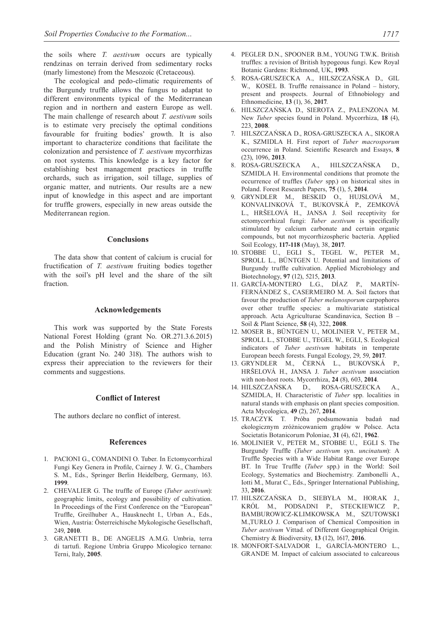the soils where *T. aestivum* occurs are typically rendzinas on terrain derived from sedimentary rocks (marly limestone) from the Mesozoic (Cretaceous).

The ecological and pedo-climatic requirements of the Burgundy truffle allows the fungus to adaptat to different environments typical of the Mediterranean region and in northern and eastern Europe as well. The main challenge of research about *T. aestivum* soils is to estimate very precisely the optimal conditions favourable for fruiting bodies' growth. It is also important to characterize conditions that facilitate the colonization and persistence of *T. aestivum* mycorrhizas on root systems. This knowledge is a key factor for establishing best management practices in truffle orchards, such as irrigation, soil tillage, supplies of organic matter, and nutrients. Our results are a new input of knowledge in this aspect and are important for truffle growers, especially in new areas outside the Mediterranean region.

# **Conclusions**

The data show that content of calcium is crucial for fructification of *T. aestivum* fruiting bodies together with the soil's pH level and the share of the silt fraction.

#### **Acknowledgements**

This work was supported by the State Forests National Forest Holding (grant No. OR.271.3.6.2015) and the Polish Ministry of Science and Higher Education (grant No. 240 318). The authors wish to express their appreciation to the reviewers for their comments and suggestions.

# **Conflict of Interest**

The authors declare no conflict of interest.

#### **References**

- 1. PACIONI G., COMANDINI O. Tuber. In Ectomycorrhizal Fungi Key Genera in Profile, Cairney J. W. G., Chambers S. M., Eds., Springer Berlin Heidelberg, Germany, 163. **1999**.
- 2. CHEVALIER G. The truffle of Europe (*Tuber aestivum*): geographic limits, ecology and possibility of cultivation. In Proceedings of the First Conference on the "European" Truffle, Greilhuber A., Hausknecht I., Urban A., Eds., Wien, Austria: Österreichische Mykologische Gesellschaft, 249, **2010**.
- 3. GRANETTI B., DE ANGELIS A.M.G. Umbria, terra di tartufi. Regione Umbria Gruppo Micologico ternano: Terni, Italy, **2005**.
- 4. PEGLER D.N., SPOONER B.M., YOUNG T.W.K. British truffles: a revision of British hypogeous fungi. Kew Royal Botanic Gardens: Richmond, UK, **1993**.
- 5. ROSA-GRUSZECKA A., HILSZCZAŃSKA D., GIL W., KOSEL B. Truffle renaissance in Poland – history, present and prospects. Journal of Ethnobiology and Ethnomedicine, **13** (1), 36, **2017**.
- 6. HILSZCZAŃSKA D., SIEROTA Z., PALENZONA M. New *Tuber* species found in Poland. Mycorrhiza, **18** (4), 223, **2008**.
- 7. HILSZCZAŃSKA D., ROSA-GRUSZECKA A., SIKORA K., SZMIDLA H. First report of *Tuber macrosporum* occurrence in Poland. Scientific Research and Essays, **8** (23), 1096, **2013**.
- 8. ROSA-GRUSZECKA A., HILSZCZAŃSKA D., SZMIDLA H. Environmental conditions that promote the occurrence of truffles (*Tuber* spp.) on historical sites in Poland. Forest Research Papers, **75** (1), 5, **2014**.
- 9. GRYNDLER M., BESKID O., HUJSLOVÁ M., KONVALINKOVÁ T., BUKOVSKÁ P., ZEMKOVÁ L., HRŠELOVÁ H., JANSA J. Soil receptivity for ectomycorrhizal fungi: *Tuber aestivum* is specifically stimulated by calcium carbonate and certain organic compounds, but not mycorrhizospheric bacteria. Applied Soil Ecology, **117-118** (May), 38, **2017**.
- 10. STOBBE U., EGLI S., TEGEL W., PETER M., SPROLL L., BÜNTGEN U. Potential and limitations of Burgundy truffle cultivation. Applied Microbiology and Biotechnology, **97** (12), 5215, **2013**.
- 11. GARCÍA-MONTERO L.G., DÍAZ P., MARTÍN-FERNÁNDEZ S., CASERMEIRO M. A. Soil factors that favour the production of *Tuber melanosporum* carpophores over other truffle species: a multivariate statistical approach. Acta Agriculturae Scandinavica, Section B – Soil & Plant Science, **58** (4), 322, **2008**.
- 12. MOSER B., BÜNTGEN U., MOLINIER V., PETER M., SPROLL L., STOBBE U., TEGEL W., EGLI, S. Ecological indicators of *Tuber aestivum* habitats in temperate European beech forests. Fungal Ecology, 29, 59, **2017**.
- 13. GRYNDLER M., ČERNÁ L., BUKOVSKÁ P., HRŠELOVÁ H., JANSA J. *Tuber aestivum* association with non-host roots. Mycorrhiza, **24** (8), 603, **2014**.
- 14. HILSZCZAŃSKA D., ROSA-GRUSZECKA A., SZMIDLA, H. Characteristic of *Tuber* spp. localities in natural stands with emphasis on plant species composition. Acta Mycologica, **49** (2), 267, **2014**.
- 15. TRACZYK T. Próba podsumowania badań nad ekologicznym zróżnicowaniem grądów w Polsce. Acta Societatis Botanicorum Poloniae, **31** (4), 621, **1962**.
- 16. MOLINIER V., PETER M., STOBBE U., EGLI S. The Burgundy Truffle (*Tuber aestivum* syn. *uncinatum*): A Truffle Species with a Wide Habitat Range over Europe BT. In True Truffle (*Tuber* spp.) in the World: Soil Ecology, Systematics and Biochemistry. Zambonelli A., Iotti M., Murat C., Eds., Springer International Publishing, 33, **2016**.
- 17. HILSZCZAŃSKA D., SIEBYŁA M., HORAK J., KRÓL M., PODSADNI P., STECKIEWICZ P., BAMBUROWICZ-KLIMKOWSKA M., SZUTOWSKI M.,TURŁO J. Comparison of Chemical Composition in *Tuber aestivum* Vittad. of Different Geographical Origin. Chemistry & Biodiversity, **13** (12), 1617, **2016**.
- 18. MONFORT-SALVADOR I., GARCÍA-MONTERO L., GRANDE M. Impact of calcium associated to calcareous